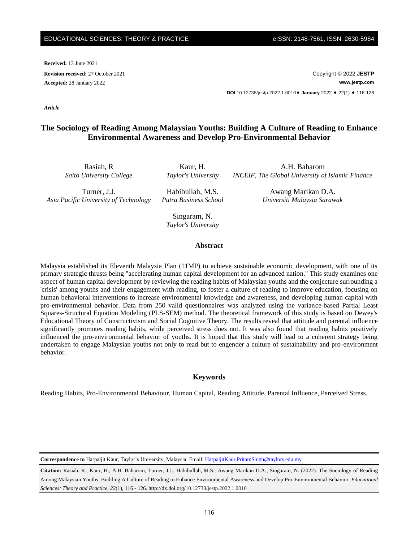#### EDUCATIONAL SCIENCES: THEORY & PRACTICE eISSN: 2148-7561, ISSN: 2630-5984

**Received:** 13 June 2021

**Revision received:** 27 October 2021 Copyright © 2022 **JESTP Accepted:** 28 January 2022 **www.jestp.com DOI** 10.12738/jestp.2022.1.0010⬧ **January** 2022 ⬧ 22(1) ⬧ 116-128

*Article*

# **The Sociology of Reading Among Malaysian Youths: Building A Culture of Reading to Enhance Environmental Awareness and Develop Pro-Environmental Behavior**

Rasiah, R *Saito University College*

Kaur, H. *Taylor's University*

Turner, J.J. *Asia Pacific University of Technology*

Habibullah, M.S. *Putra Business School*

Awang Marikan D.A. *Universiti Malaysia Sarawak*

A.H. Baharom *INCEIF, The Global University of Islamic Finance*

Singaram, N. *Taylor's University*

#### **Abstract**

Malaysia established its Eleventh Malaysia Plan (11MP) to achieve sustainable economic development, with one of its primary strategic thrusts being "accelerating human capital development for an advanced nation." This study examines one aspect of human capital development by reviewing the reading habits of Malaysian youths and the conjecture surrounding a 'crisis' among youths and their engagement with reading, to foster a culture of reading to improve education, focusing on human behavioral interventions to increase environmental knowledge and awareness, and developing human capital with pro-environmental behavior. Data from 250 valid questionnaires was analyzed using the variance-based Partial Least Squares-Structural Equation Modeling (PLS-SEM) method. The theoretical framework of this study is based on Dewey's Educational Theory of Constructivism and Social Cognitive Theory. The results reveal that attitude and parental influence significantly promotes reading habits, while perceived stress does not. It was also found that reading habits positively influenced the pro-environmental behavior of youths. It is hoped that this study will lead to a coherent strategy being undertaken to engage Malaysian youths not only to read but to engender a culture of sustainability and pro-environment behavior.

## **Keywords**

Reading Habits, Pro-Environmental Behaviour, Human Capital, Reading Attitude, Parental Influence, Perceived Stress.

**Correspondence to** Harpaljit Kaur, Taylor's University, Malaysia. Email[: HarpaljitKaur.PritamSingh@taylors.edu.my](mailto:HarpaljitKaur.PritamSingh@taylors.edu.my)

**Citation:** Rasiah, R., Kaur, H., A.H. Baharom, Turner, J.J., Habibullah, M.S., Awang Marikan D.A., Singaram, N. (2022). The Sociology of Reading Among Malaysian Youths: Building A Culture of Reading to Enhance Environmental Awareness and Develop Pro-Environmental Behavior. *Educational Sciences: Theory and Practice, 22*(1), 116 - 126. http://dx.doi.org/10.12738/jestp.2022.1.0010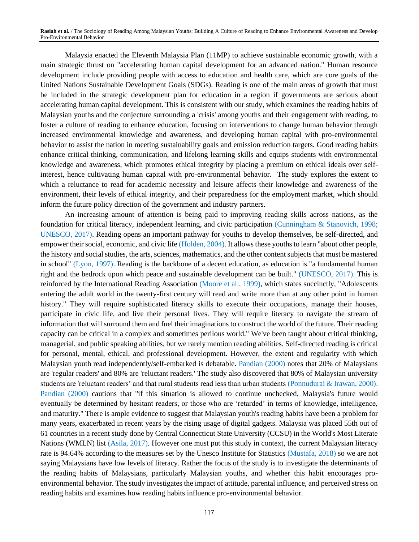Malaysia enacted the Eleventh Malaysia Plan (11MP) to achieve sustainable economic growth, with a main strategic thrust on "accelerating human capital development for an advanced nation." Human resource development include providing people with access to education and health care, which are core goals of the United Nations Sustainable Development Goals (SDGs). Reading is one of the main areas of growth that must be included in the strategic development plan for education in a region if governments are serious about accelerating human capital development. This is consistent with our study, which examines the reading habits of Malaysian youths and the conjecture surrounding a 'crisis' among youths and their engagement with reading, to foster a culture of reading to enhance education, focusing on interventions to change human behavior through increased environmental knowledge and awareness, and developing human capital with pro-environmental behavior to assist the nation in meeting sustainability goals and emission reduction targets. Good reading habits enhance critical thinking, communication, and lifelong learning skills and equips students with environmental knowledge and awareness, which promotes ethical integrity by placing a premium on ethical ideals over selfinterest, hence cultivating human capital with pro-environmental behavior. The study explores the extent to which a reluctance to read for academic necessity and leisure affects their knowledge and awareness of the environment, their levels of ethical integrity, and their preparedness for the employment market, which should inform the future policy direction of the government and industry partners.

An increasing amount of attention is being paid to improving reading skills across nations, as the foundation for critical literacy, independent learning, and civic participation (Cunningham & Stanovich, 1998; UNESCO, 2017). Reading opens an important pathway for youths to develop themselves, be self-directed, and empower their social, economic, and civic life (Holden, 2004). It allows these youths to learn "about other people, the history and social studies, the arts, sciences, mathematics, and the other content subjects that must be mastered in school" (Lyon, 1997). Reading is the backbone of a decent education, as education is "a fundamental human right and the bedrock upon which peace and sustainable development can be built." (UNESCO, 2017). This is reinforced by the International Reading Association (Moore et al., 1999), which states succinctly, "Adolescents entering the adult world in the twenty-first century will read and write more than at any other point in human history." They will require sophisticated literacy skills to execute their occupations, manage their houses, participate in civic life, and live their personal lives. They will require literacy to navigate the stream of information that will surround them and fuel their imaginations to construct the world of the future. Their reading capacity can be critical in a complex and sometimes perilous world." We've been taught about critical thinking, managerial, and public speaking abilities, but we rarely mention reading abilities. Self-directed reading is critical for personal, mental, ethical, and professional development. However, the extent and regularity with which Malaysian youth read independently/self-embarked is debatable. Pandian (2000) notes that 20% of Malaysians are 'regular readers' and 80% are 'reluctant readers.' The study also discovered that 80% of Malaysian university students are 'reluctant readers' and that rural students read less than urban students (Ponnudurai & Irawan, 2000). Pandian (2000) cautions that "if this situation is allowed to continue unchecked, Malaysia's future would eventually be determined by hesitant readers, or those who are 'retarded' in terms of knowledge, intelligence, and maturity." There is ample evidence to suggest that Malaysian youth's reading habits have been a problem for many years, exacerbated in recent years by the rising usage of digital gadgets. Malaysia was placed 55th out of 61 countries in a recent study done by Central Connecticut State University (CCSU) in the World's Most Literate Nations (WMLN) list (Asila, 2017). However one must put this study in context, the current Malaysian literacy rate is 94.64% according to the measures set by the Unesco Institute for Statistics (Mustafa, 2018) so we are not saying Malaysians have low levels of literacy. Rather the focus of the study is to investigate the determinants of the reading habits of Malaysians, particularly Malaysian youths, and whether this habit encourages proenvironmental behavior. The study investigates the impact of attitude, parental influence, and perceived stress on reading habits and examines how reading habits influence pro-environmental behavior.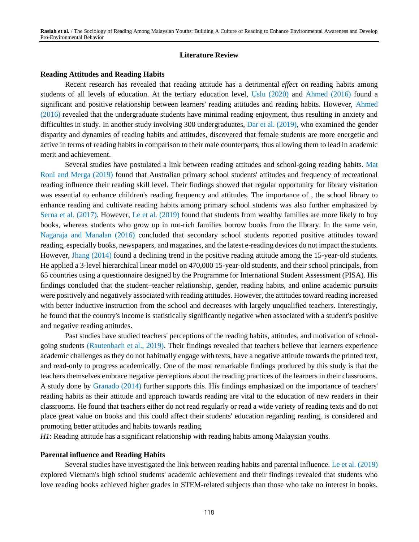## **Literature Review**

## **Reading Attitudes and Reading Habits**

Recent research has revealed that reading attitude has a detrimental *effect on* reading habits among students of all levels of education. At the tertiary education level, Uslu (2020) and Ahmed (2016) found a significant and positive relationship between learners' reading attitudes and reading habits. However, Ahmed (2016) revealed that the undergraduate students have minimal reading enjoyment, thus resulting in anxiety and difficulties in study. In another study involving 300 undergraduates, Dar et al. (2019), who examined the gender disparity and dynamics of reading habits and attitudes, discovered that female students are more energetic and active in terms of reading habits in comparison to their male counterparts, thus allowing them to lead in academic merit and achievement.

Several studies have postulated a link between reading attitudes and school-going reading habits. Mat Roni and Merga (2019) found that Australian primary school students' attitudes and frequency of recreational reading influence their reading skill level. Their findings showed that regular opportunity for library visitation was essential to enhance children's reading frequency and attitudes. The importance of , the school library to enhance reading and cultivate reading habits among primary school students was also further emphasized by Serna et al. (2017). However, Le et al. (2019) found that students from wealthy families are more likely to buy books, whereas students who grow up in not-rich families borrow books from the library. In the same vein, Nagaraja and Manalan (2016) concluded that secondary school students reported positive attitudes toward reading, especially books, newspapers, and magazines, and the latest e-reading devices do not impact the students. However, Jhang (2014) found a declining trend in the positive reading attitude among the 15-year-old students. He applied a 3-level hierarchical linear model on 470,000 15-year-old students, and their school principals, from 65 countries using a questionnaire designed by the Programme for International Student Assessment (PISA). His findings concluded that the student–teacher relationship, gender, reading habits, and online academic pursuits were positively and negatively associated with reading attitudes. However, the attitudes toward reading increased with better inductive instruction from the school and decreases with largely unqualified teachers. Interestingly, he found that the country's income is statistically significantly negative when associated with a student's positive and negative reading attitudes.

Past studies have studied teachers' perceptions of the reading habits, attitudes, and motivation of schoolgoing students (Rautenbach et al., 2019). Their findings revealed that teachers believe that learners experience academic challenges as they do not habitually engage with texts, have a negative attitude towards the printed text, and read-only to progress academically. One of the most remarkable findings produced by this study is that the teachers themselves embrace negative perceptions about the reading practices of the learners in their classrooms. A study done by Granado (2014) further supports this. His findings emphasized on the importance of teachers' reading habits as their attitude and approach towards reading are vital to the education of new readers in their classrooms. He found that teachers either do not read regularly or read a wide variety of reading texts and do not place great value on books and this could affect their students' education regarding reading, is considered and promoting better attitudes and habits towards reading.

*H1*: Reading attitude has a significant relationship with reading habits among Malaysian youths.

#### **Parental influence and Reading Habits**

Several studies have investigated the link between reading habits and parental influence. Le et al. (2019) explored Vietnam's high school students' academic achievement and their findings revealed that students who love reading books achieved higher grades in STEM-related subjects than those who take no interest in books.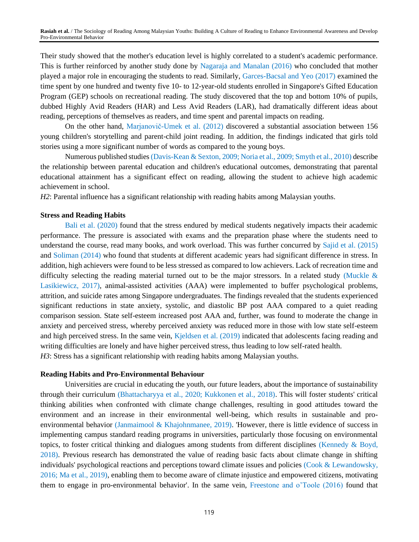Their study showed that the mother's education level is highly correlated to a student's academic performance. This is further reinforced by another study done by Nagaraja and Manalan (2016) who concluded that mother played a major role in encouraging the students to read. Similarly, Garces-Bacsal and Yeo (2017) examined the time spent by one hundred and twenty five 10- to 12-year-old students enrolled in Singapore's Gifted Education Program (GEP) schools on recreational reading. The study discovered that the top and bottom 10% of pupils, dubbed Highly Avid Readers (HAR) and Less Avid Readers (LAR), had dramatically different ideas about reading, perceptions of themselves as readers, and time spent and parental impacts on reading.

On the other hand, Marjanovič-Umek et al. (2012) discovered a substantial association between 156 young children's storytelling and parent-child joint reading. In addition, the findings indicated that girls told stories using a more significant number of words as compared to the young boys.

Numerous published studies (Davis-Kean & Sexton, 2009; Noria et al., 2009; Smyth et al., 2010) describe the relationship between parental education and children's educational outcomes, demonstrating that parental educational attainment has a significant effect on reading, allowing the student to achieve high academic achievement in school.

*H2*: Parental influence has a significant relationship with reading habits among Malaysian youths.

## **Stress and Reading Habits**

Bali et al. (2020) found that the stress endured by medical students negatively impacts their academic performance. The pressure is associated with exams and the preparation phase where the students need to understand the course, read many books, and work overload. This was further concurred by Sajid et al. (2015) and Soliman (2014) who found that students at different academic years had significant difference in stress. In addition, high achievers were found to be less stressed as compared to low achievers. Lack of recreation time and difficulty selecting the reading material turned out to be the major stressors. In a related study (Muckle  $\&$ Lasikiewicz, 2017), animal-assisted activities (AAA) were implemented to buffer psychological problems, attrition, and suicide rates among Singapore undergraduates. The findings revealed that the students experienced significant reductions in state anxiety, systolic, and diastolic BP post AAA compared to a quiet reading comparison session. State self-esteem increased post AAA and, further, was found to moderate the change in anxiety and perceived stress, whereby perceived anxiety was reduced more in those with low state self-esteem and high perceived stress. In the same vein, Kjeldsen et al. (2019) indicated that adolescents facing reading and writing difficulties are lonely and have higher perceived stress, thus leading to low self-rated health. *H3*: Stress has a significant relationship with reading habits among Malaysian youths.

## **Reading Habits and Pro-Environmental Behaviour**

Universities are crucial in educating the youth, our future leaders, about the importance of sustainability through their curriculum (Bhattacharyya et al., 2020; Kukkonen et al., 2018). This will foster students' critical thinking abilities when confronted with climate change challenges, resulting in good attitudes toward the environment and an increase in their environmental well-being, which results in sustainable and proenvironmental behavior (Janmaimool & Khajohnmanee, 2019). 'However, there is little evidence of success in implementing campus standard reading programs in universities, particularly those focusing on environmental topics, to foster critical thinking and dialogues among students from different disciplines (Kennedy & Boyd, 2018). Previous research has demonstrated the value of reading basic facts about climate change in shifting individuals' psychological reactions and perceptions toward climate issues and policies (Cook & Lewandowsky, 2016; Ma et al., 2019), enabling them to become aware of climate injustice and empowered citizens, motivating them to engage in pro-environmental behavior'. In the same vein, Freestone and o'Toole (2016) found that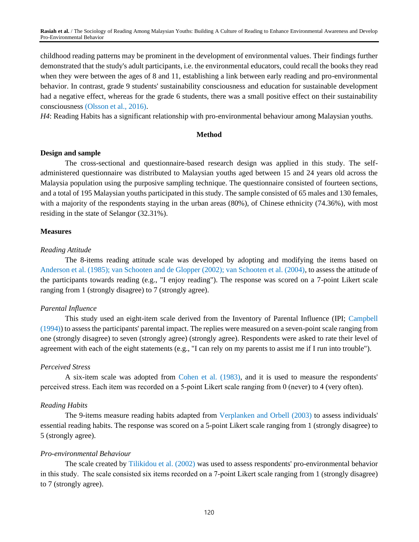childhood reading patterns may be prominent in the development of environmental values. Their findings further demonstrated that the study's adult participants, i.e. the environmental educators, could recall the books they read when they were between the ages of 8 and 11, establishing a link between early reading and pro-environmental behavior. In contrast, grade 9 students' sustainability consciousness and education for sustainable development had a negative effect, whereas for the grade 6 students, there was a small positive effect on their sustainability consciousness (Olsson et al., 2016).

*H4*: Reading Habits has a significant relationship with pro-environmental behaviour among Malaysian youths.

#### **Method**

## **Design and sample**

The cross-sectional and questionnaire-based research design was applied in this study. The selfadministered questionnaire was distributed to Malaysian youths aged between 15 and 24 years old across the Malaysia population using the purposive sampling technique. The questionnaire consisted of fourteen sections, and a total of 195 Malaysian youths participated in this study. The sample consisted of 65 males and 130 females, with a majority of the respondents staying in the urban areas (80%), of Chinese ethnicity (74.36%), with most residing in the state of Selangor (32.31%).

## **Measures**

#### *Reading Attitude*

The 8-items reading attitude scale was developed by adopting and modifying the items based on Anderson et al. (1985); van Schooten and de Glopper (2002); van Schooten et al. (2004), to assess the attitude of the participants towards reading (e.g., "I enjoy reading"). The response was scored on a 7-point Likert scale ranging from 1 (strongly disagree) to 7 (strongly agree).

## *Parental Influence*

This study used an eight-item scale derived from the Inventory of Parental Influence (IPI; Campbell (1994)) to assess the participants' parental impact. The replies were measured on a seven-point scale ranging from one (strongly disagree) to seven (strongly agree) (strongly agree). Respondents were asked to rate their level of agreement with each of the eight statements (e.g., "I can rely on my parents to assist me if I run into trouble").

#### *Perceived Stress*

A six-item scale was adopted from Cohen et al. (1983), and it is used to measure the respondents' perceived stress. Each item was recorded on a 5‐point Likert scale ranging from 0 (never) to 4 (very often).

#### *Reading Habits*

The 9-items measure reading habits adapted from Verplanken and Orbell (2003) to assess individuals' essential reading habits. The response was scored on a 5-point Likert scale ranging from 1 (strongly disagree) to 5 (strongly agree).

## *Pro-environmental Behaviour*

The scale created by Tilikidou et al. (2002) was used to assess respondents' pro-environmental behavior in this study. The scale consisted six items recorded on a 7‐point Likert scale ranging from 1 (strongly disagree) to 7 (strongly agree).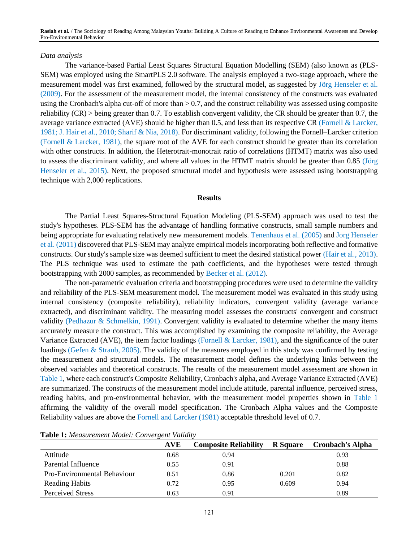#### *Data analysis*

The variance-based Partial Least Squares Structural Equation Modelling (SEM) (also known as (PLS-SEM) was employed using the SmartPLS 2.0 software. The analysis employed a two-stage approach, where the measurement model was first examined, followed by the structural model, as suggested by Jörg Henseler et al. (2009). For the assessment of the measurement model, the internal consistency of the constructs was evaluated using the Cronbach's alpha cut-off of more than > 0.7, and the construct reliability was assessed using composite reliability (CR) > being greater than 0.7. To establish convergent validity, the CR should be greater than 0.7, the average variance extracted (AVE) should be higher than 0.5, and less than its respective CR (Fornell & Larcker, 1981; J. Hair et al., 2010; Sharif & Nia, 2018). For discriminant validity, following the Fornell–Larcker criterion (Fornell & Larcker, 1981), the square root of the AVE for each construct should be greater than its correlation with other constructs. In addition, the Heterotrait-monotrait ratio of correlations (HTMT) matrix was also used to assess the discriminant validity, and where all values in the HTMT matrix should be greater than 0.85 (Jörg Henseler et al., 2015). Next, the proposed structural model and hypothesis were assessed using bootstrapping technique with 2,000 replications.

#### **Results**

The Partial Least Squares-Structural Equation Modeling (PLS-SEM) approach was used to test the study's hypotheses. PLS-SEM has the advantage of handling formative constructs, small sample numbers and being appropriate for evaluating relatively new measurement models. Tenenhaus et al. (2005) and Jorg Henseler et al. (2011) discovered that PLS-SEM may analyze empirical models incorporating both reflective and formative constructs. Our study's sample size was deemed sufficient to meet the desired statistical power (Hair et al., 2013). The PLS technique was used to estimate the path coefficients, and the hypotheses were tested through bootstrapping with 2000 samples, as recommended by Becker et al. (2012).

The non-parametric evaluation criteria and bootstrapping procedures were used to determine the validity and reliability of the PLS-SEM measurement model. The measurement model was evaluated in this study using internal consistency (composite reliability), reliability indicators, convergent validity (average variance extracted), and discriminant validity. The measuring model assesses the constructs' convergent and construct validity (Pedhazur & Schmelkin, 1991). Convergent validity is evaluated to determine whether the many items accurately measure the construct. This was accomplished by examining the composite reliability, the Average Variance Extracted (AVE), the item factor loadings (Fornell & Larcker, 1981), and the significance of the outer loadings (Gefen & Straub, 2005). The validity of the measures employed in this study was confirmed by testing the measurement and structural models. The measurement model defines the underlying links between the observed variables and theoretical constructs. The results of the measurement model assessment are shown in Table 1, where each construct's Composite Reliability, Cronbach's alpha, and Average Variance Extracted (AVE) are summarized. The constructs of the measurement model include attitude, parental influence, perceived stress, reading habits, and pro-environmental behavior, with the measurement model properties shown in Table 1 affirming the validity of the overall model specification. The Cronbach Alpha values and the Composite Reliability values are above the Fornell and Larcker (1981) acceptable threshold level of 0.7.

|                             | AVE  | <b>Composite Reliability</b> | <b>R</b> Square | <b>Cronbach's Alpha</b> |
|-----------------------------|------|------------------------------|-----------------|-------------------------|
| Attitude                    | 0.68 | 0.94                         |                 | 0.93                    |
| Parental Influence          | 0.55 | 0.91                         |                 | 0.88                    |
| Pro-Environmental Behaviour | 0.51 | 0.86                         | 0.201           | 0.82                    |
| <b>Reading Habits</b>       | 0.72 | 0.95                         | 0.609           | 0.94                    |
| <b>Perceived Stress</b>     | 0.63 | 0.91                         |                 | 0.89                    |

**Table 1:** *Measurement Model: Convergent Validity*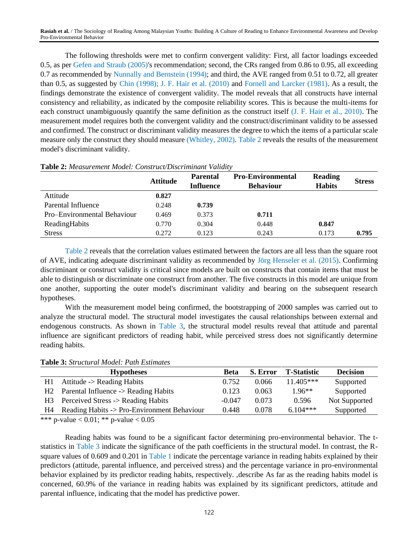The following thresholds were met to confirm convergent validity: First, all factor loadings exceeded 0.5, as per Gefen and Straub (2005)'s recommendation; second, the CRs ranged from 0.86 to 0.95, all exceeding 0.7 as recommended by Nunnally and Bernstein (1994); and third, the AVE ranged from 0.51 to 0.72, all greater than 0.5, as suggested by Chin (1998); J. F. Hair et al. (2010) and Fornell and Larcker (1981). As a result, the findings demonstrate the existence of convergent validity. The model reveals that all constructs have internal consistency and reliability, as indicated by the composite reliability scores. This is because the multi-items for each construct unambiguously quantify the same definition as the construct itself (J. F. Hair et al., 2010). The measurement model requires both the convergent validity and the construct/discriminant validity to be assessed and confirmed. The construct or discriminant validity measures the degree to which the items of a particular scale measure only the construct they should measure (Whitley, 2002). Table 2 reveals the results of the measurement model's discriminant validity.

|                             | <b>Attitude</b> | <b>Parental</b><br><b>Influence</b> | <b>Pro-Environmental</b><br><b>Behaviour</b> | <b>Reading</b><br><b>Habits</b> | <b>Stress</b> |
|-----------------------------|-----------------|-------------------------------------|----------------------------------------------|---------------------------------|---------------|
| Attitude                    | 0.827           |                                     |                                              |                                 |               |
| Parental Influence          | 0.248           | 0.739                               |                                              |                                 |               |
| Pro-Environmental Behaviour | 0.469           | 0.373                               | 0.711                                        |                                 |               |
| ReadingHabits               | 0.770           | 0.304                               | 0.448                                        | 0.847                           |               |
| <b>Stress</b>               | 0.272           | 0.123                               | 0.243                                        | 0.173                           | 0.795         |

**Table 2:** *Measurement Model: Construct/Discriminant Validity* 

Table 2 reveals that the correlation values estimated between the factors are all less than the square root of AVE, indicating adequate discriminant validity as recommended by Jörg Henseler et al. (2015). Confirming discriminant or construct validity is critical since models are built on constructs that contain items that must be able to distinguish or discriminate one construct from another. The five constructs in this model are unique from one another, supporting the outer model's discriminant validity and bearing on the subsequent research hypotheses.

With the measurement model being confirmed, the bootstrapping of 2000 samples was carried out to analyze the structural model. The structural model investigates the causal relationships between external and endogenous constructs. As shown in Table 3, the structural model results reveal that attitude and parental influence are significant predictors of reading habit, while perceived stress does not significantly determine reading habits.

|                | <b>Hypotheses</b>                           | Beta     | S. Error | <b>T-Statistic</b> | <b>Decision</b> |
|----------------|---------------------------------------------|----------|----------|--------------------|-----------------|
| H1             | Attitude -> Reading Habits                  | 0.752    | 0.066    | $11.405***$        | Supported       |
| H <sub>2</sub> | Parental Influence -> Reading Habits        | 0.123    | 0.063    | $1.96**$           | Supported       |
| H3 =           | Perceived Stress -> Reading Habits          | $-0.047$ | 0.073    | 0.596              | Not Supported   |
| H4             | Reading Habits -> Pro-Environment Behaviour | 0.448    | 0.078    | $6.104***$         | Supported       |

**Table 3:** *Structural Model: Path Estimates*

\*\*\* p-value < 0.01; \*\* p-value <  $0.05$ 

Reading habits was found to be a significant factor determining pro-environmental behavior. The tstatistics in Table 3 indicate the significance of the path coefficients in the structural model. In contrast, the Rsquare values of 0.609 and 0.201 in Table 1 indicate the percentage variance in reading habits explained by their predictors (attitude, parental influence, and perceived stress) and the percentage variance in pro-environmental behavior explained by its predictor reading habits, respectively. ,describe As far as the reading habits model is concerned, 60.9% of the variance in reading habits was explained by its significant predictors, attitude and parental influence, indicating that the model has predictive power.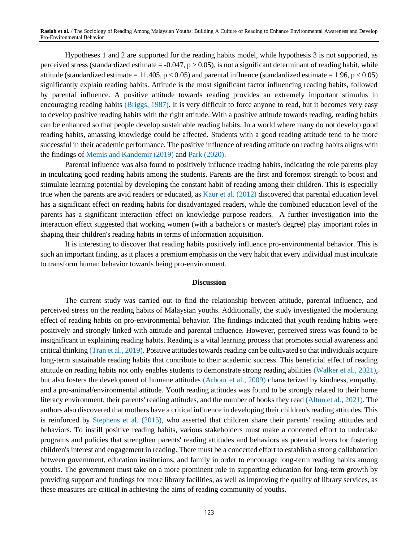Hypotheses 1 and 2 are supported for the reading habits model, while hypothesis 3 is not supported, as perceived stress (standardized estimate  $= -0.047$ ,  $p > 0.05$ ), is not a significant determinant of reading habit, while attitude (standardized estimate = 11.405,  $p < 0.05$ ) and parental influence (standardized estimate = 1.96,  $p < 0.05$ ) significantly explain reading habits. Attitude is the most significant factor influencing reading habits, followed by parental influence. A positive attitude towards reading provides an extremely important stimulus in encouraging reading habits (Briggs, 1987). It is very difficult to force anyone to read, but it becomes very easy to develop positive reading habits with the right attitude. With a positive attitude towards reading, reading habits can be enhanced so that people develop sustainable reading habits. In a world where many do not develop good reading habits, amassing knowledge could be affected. Students with a good reading attitude tend to be more successful in their academic performance. The positive influence of reading attitude on reading habits aligns with the findings of Memis and Kandemir (2019) and Park (2020).

Parental influence was also found to positively influence reading habits, indicating the role parents play in inculcating good reading habits among the students. Parents are the first and foremost strength to boost and stimulate learning potential by developing the constant habit of reading among their children. This is especially true when the parents are avid readers or educated, as Kaur et al. (2012) discovered that parental education level has a significant effect on reading habits for disadvantaged readers, while the combined education level of the parents has a significant interaction effect on knowledge purpose readers. A further investigation into the interaction effect suggested that working women (with a bachelor's or master's degree) play important roles in shaping their children's reading habits in terms of information acquisition.

It is interesting to discover that reading habits positively influence pro-environmental behavior. This is such an important finding, as it places a premium emphasis on the very habit that every individual must inculcate to transform human behavior towards being pro-environment.

## **Discussion**

The current study was carried out to find the relationship between attitude, parental influence, and perceived stress on the reading habits of Malaysian youths. Additionally, the study investigated the moderating effect of reading habits on pro-environmental behavior. The findings indicated that youth reading habits were positively and strongly linked with attitude and parental influence. However, perceived stress was found to be insignificant in explaining reading habits. Reading is a vital learning process that promotes social awareness and critical thinking (Tran et al., 2019). Positive attitudes towards reading can be cultivated so that individuals acquire long-term sustainable reading habits that contribute to their academic success. This beneficial effect of reading attitude on reading habits not only enables students to demonstrate strong reading abilities (Walker et al., 2021), but also fosters the development of humane attitudes (Arbour et al., 2009) characterized by kindness, empathy, and a pro-animal/environmental attitude. Youth reading attitudes was found to be strongly related to their home literacy environment, their parents' reading attitudes, and the number of books they read (Altun et al., 2021). The authors also discovered that mothers have a critical influence in developing their children's reading attitudes. This is reinforced by Stephens et al. (2015), who asserted that children share their parents' reading attitudes and behaviors. To instill positive reading habits, various stakeholders must make a concerted effort to undertake programs and policies that strengthen parents' reading attitudes and behaviors as potential levers for fostering children's interest and engagement in reading. There must be a concerted effort to establish a strong collaboration between government, education institutions, and family in order to encourage long-term reading habits among youths. The government must take on a more prominent role in supporting education for long-term growth by providing support and fundings for more library facilities, as well as improving the quality of library services, as these measures are critical in achieving the aims of reading community of youths.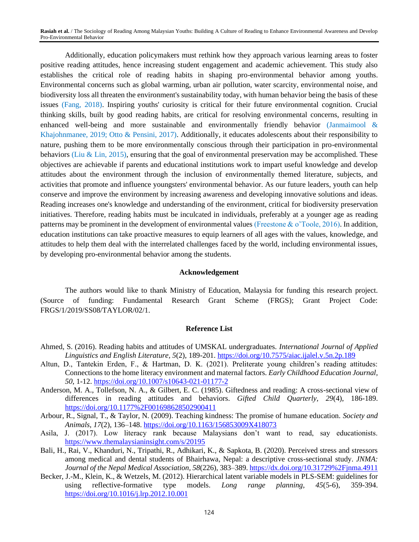Additionally, education policymakers must rethink how they approach various learning areas to foster positive reading attitudes, hence increasing student engagement and academic achievement. This study also establishes the critical role of reading habits in shaping pro-environmental behavior among youths. Environmental concerns such as global warming, urban air pollution, water scarcity, environmental noise, and biodiversity loss all threaten the environment's sustainability today, with human behavior being the basis of these issues (Fang, 2018). Inspiring youths' curiosity is critical for their future environmental cognition. Crucial thinking skills, built by good reading habits, are critical for resolving environmental concerns, resulting in enhanced well-being and more sustainable and environmentally friendly behavior (Janmaimool & Khajohnmanee, 2019; Otto & Pensini, 2017). Additionally, it educates adolescents about their responsibility to nature, pushing them to be more environmentally conscious through their participation in pro-environmental behaviors (Liu & Lin, 2015), ensuring that the goal of environmental preservation may be accomplished. These objectives are achievable if parents and educational institutions work to impart useful knowledge and develop attitudes about the environment through the inclusion of environmentally themed literature, subjects, and activities that promote and influence youngsters' environmental behavior. As our future leaders, youth can help conserve and improve the environment by increasing awareness and developing innovative solutions and ideas. Reading increases one's knowledge and understanding of the environment, critical for biodiversity preservation initiatives. Therefore, reading habits must be inculcated in individuals, preferably at a younger age as reading patterns may be prominent in the development of environmental values (Freestone & o'Toole, 2016). In addition, education institutions can take proactive measures to equip learners of all ages with the values, knowledge, and attitudes to help them deal with the interrelated challenges faced by the world, including environmental issues, by developing pro-environmental behavior among the students.

#### **Acknowledgement**

The authors would like to thank Ministry of Education, Malaysia for funding this research project. (Source of funding: Fundamental Research Grant Scheme (FRGS); Grant Project Code: FRGS/1/2019/SS08/TAYLOR/02/1.

#### **Reference List**

- Ahmed, S. (2016). Reading habits and attitudes of UMSKAL undergraduates. *International Journal of Applied Linguistics and English Literature, 5*(2), 189-201.<https://doi.org/10.7575/aiac.ijalel.v.5n.2p.189>
- Altun, D., Tantekin Erden, F., & Hartman, D. K. (2021). Preliterate young children's reading attitudes: Connections to the home literacy environment and maternal factors. *Early Childhood Education Journal, 50*, 1-12.<https://doi.org/10.1007/s10643-021-01177-2>
- Anderson, M. A., Tollefson, N. A., & Gilbert, E. C. (1985). Giftedness and reading: A cross-sectional view of differences in reading attitudes and behaviors. *Gifted Child Quarterly, 29*(4), 186-189. <https://doi.org/10.1177%2F001698628502900411>
- Arbour, R., Signal, T., & Taylor, N. (2009). Teaching kindness: The promise of humane education. *Society and Animals, 17*(2), 136–148. <https://doi.org/10.1163/156853009X418073>
- Asila, J. (2017). Low literacy rank because Malaysians don't want to read, say educationists. <https://www.themalaysianinsight.com/s/20195>
- Bali, H., Rai, V., Khanduri, N., Tripathi, R., Adhikari, K., & Sapkota, B. (2020). Perceived stress and stressors among medical and dental students of Bhairhawa, Nepal: a descriptive cross-sectional study. *JNMA: Journal of the Nepal Medical Association, 58*(226), 383–389[. https://dx.doi.org/10.31729%2Fjnma.4911](https://dx.doi.org/10.31729%2Fjnma.4911)
- Becker, J.-M., Klein, K., & Wetzels, M. (2012). Hierarchical latent variable models in PLS-SEM: guidelines for using reflective-formative type models. *Long range planning, 45*(5-6), 359-394. <https://doi.org/10.1016/j.lrp.2012.10.001>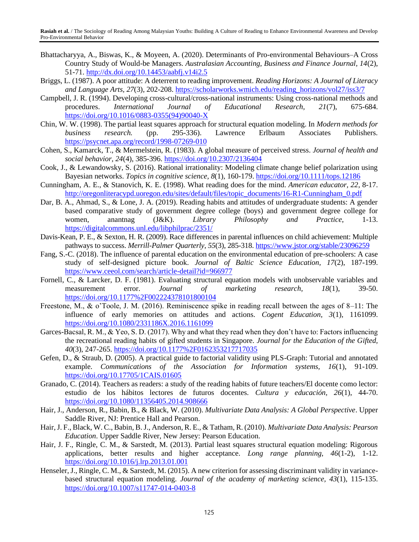- Bhattacharyya, A., Biswas, K., & Moyeen, A. (2020). Determinants of Pro-environmental Behaviours–A Cross Country Study of Would-be Managers. *Australasian Accounting, Business and Finance Journal, 14*(2), 51-71.<http://dx.doi.org/10.14453/aabfj.v14i2.5>
- Briggs, L. (1987). A poor attitude: A deterrent to reading improvement. *Reading Horizons: A Journal of Literacy and Language Arts, 27*(3), 202-208. [https://scholarworks.wmich.edu/reading\\_horizons/vol27/iss3/7](https://scholarworks.wmich.edu/reading_horizons/vol27/iss3/7)
- Campbell, J. R. (1994). Developing cross-cultural/cross-national instruments: Using cross-national methods and procedures. *International Journal of Educational Research, 21*(7), 675-684. [https://doi.org/10.1016/0883-0355\(94\)90040-X](https://doi.org/10.1016/0883-0355(94)90040-X)
- Chin, W. W. (1998). The partial least squares approach for structural equation modeling. In *Modern methods for business research.* (pp. 295-336). Lawrence Erlbaum Associates Publishers. <https://psycnet.apa.org/record/1998-07269-010>
- Cohen, S., Kamarck, T., & Mermelstein, R. (1983). A global measure of perceived stress. *Journal of health and social behavior, 24*(4), 385-396.<https://doi.org/10.2307/2136404>
- Cook, J., & Lewandowsky, S. (2016). Rational irrationality: Modeling climate change belief polarization using Bayesian networks. *Topics in cognitive science, 8*(1), 160-179.<https://doi.org/10.1111/tops.12186>
- Cunningham, A. E., & Stanovich, K. E. (1998). What reading does for the mind. *American educator, 22*, 8-17. [http://oregonliteracypd.uoregon.edu/sites/default/files/topic\\_documents/16-R1-Cunningham\\_0.pdf](http://oregonliteracypd.uoregon.edu/sites/default/files/topic_documents/16-R1-Cunningham_0.pdf)
- Dar, B. A., Ahmad, S., & Lone, J. A. (2019). Reading habits and attitudes of undergraduate students: A gender based comparative study of government degree college (boys) and government degree college for women, anantnag (J&K). *Library Philosophy and Practice*, 1-13. <https://digitalcommons.unl.edu/libphilprac/2351/>
- Davis-Kean, P. E., & Sexton, H. R. (2009). Race differences in parental influences on child achievement: Multiple pathways to success. *Merrill-Palmer Quarterly, 55*(3), 285-318.<https://www.jstor.org/stable/23096259>
- Fang, S.-C. (2018). The influence of parental education on the environmental education of pre-schoolers: A case study of self-designed picture book. *Journal of Baltic Science Education, 17*(2), 187-199. <https://www.ceeol.com/search/article-detail?id=966977>
- Fornell, C., & Larcker, D. F. (1981). Evaluating structural equation models with unobservable variables and measurement error. *Journal of marketing research, 18*(1), 39-50. <https://doi.org/10.1177%2F002224378101800104>
- Freestone, M., & o'Toole, J. M. (2016). Reminiscence spike in reading recall between the ages of 8–11: The influence of early memories on attitudes and actions. *Cogent Education, 3*(1), 1161099. <https://doi.org/10.1080/2331186X.2016.1161099>
- Garces-Bacsal, R. M., & Yeo, S. D. (2017). Why and what they read when they don't have to: Factors influencing the recreational reading habits of gifted students in Singapore. *Journal for the Education of the Gifted, 40*(3), 247-265.<https://doi.org/10.1177%2F0162353217717035>
- Gefen, D., & Straub, D. (2005). A practical guide to factorial validity using PLS-Graph: Tutorial and annotated example. *Communications of the Association for Information systems, 16*(1), 91-109. <https://doi.org/10.17705/1CAIS.01605>
- Granado, C. (2014). Teachers as readers: a study of the reading habits of future teachers/El docente como lector: estudio de los hábitos lectores de futuros docentes. *Cultura y educación, 26*(1), 44-70. <https://doi.org/10.1080/11356405.2014.908666>
- Hair, J., Anderson, R., Babin, B., & Black, W. (2010). *Multivariate Data Analysis: A Global Perspective*. Upper Saddle River, NJ: Prentice Hall and Pearson.
- Hair, J. F., Black, W. C., Babin, B. J., Anderson, R. E., & Tatham, R. (2010). *Multivariate Data Analysis: Pearson Education*. Upper Saddle River, New Jersey: Pearson Education.
- Hair, J. F., Ringle, C. M., & Sarstedt, M. (2013). Partial least squares structural equation modeling: Rigorous applications, better results and higher acceptance. *Long range planning, 46*(1-2), 1-12. <https://doi.org/10.1016/j.lrp.2013.01.001>
- Henseler, J., Ringle, C. M., & Sarstedt, M. (2015). A new criterion for assessing discriminant validity in variancebased structural equation modeling. *Journal of the academy of marketing science, 43*(1), 115-135. <https://doi.org/10.1007/s11747-014-0403-8>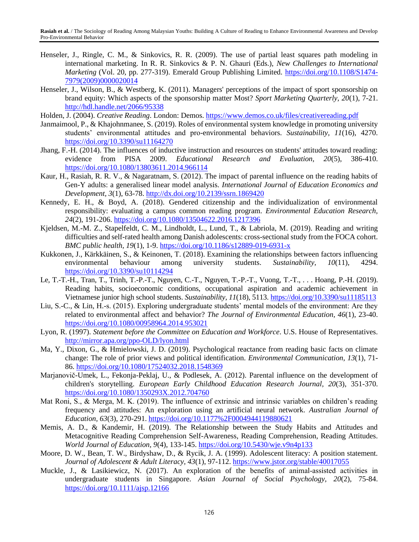- Henseler, J., Ringle, C. M., & Sinkovics, R. R. (2009). The use of partial least squares path modeling in international marketing. In R. R. Sinkovics & P. N. Ghauri (Eds.), *New Challenges to International Marketing* (Vol. 20, pp. 277-319). Emerald Group Publishing Limited. [https://doi.org/10.1108/S1474-](https://doi.org/10.1108/S1474-7979(2009)0000020014) [7979\(2009\)0000020014](https://doi.org/10.1108/S1474-7979(2009)0000020014)
- Henseler, J., Wilson, B., & Westberg, K. (2011). Managers' perceptions of the impact of sport sponsorship on brand equity: Which aspects of the sponsorship matter Most? *Sport Marketing Quarterly, 20*(1), 7-21. <http://hdl.handle.net/2066/95338>
- Holden, J. (2004). *Creative Reading*. London: Demos.<https://www.demos.co.uk/files/creativereading.pdf>
- Janmaimool, P., & Khajohnmanee, S. (2019). Roles of environmental system knowledge in promoting university students' environmental attitudes and pro-environmental behaviors. *Sustainability, 11*(16), 4270. <https://doi.org/10.3390/su11164270>
- Jhang, F.-H. (2014). The influences of inductive instruction and resources on students' attitudes toward reading: evidence from PISA 2009. *Educational Research and Evaluation, 20*(5), 386-410. <https://doi.org/10.1080/13803611.2014.966114>
- Kaur, H., Rasiah, R. R. V., & Nagaratnam, S. (2012). The impact of parental influence on the reading habits of Gen-Y adults: a generalised linear model analysis. *International Journal of Education Economics and Development, 3*(1), 63-78[. http://dx.doi.org/10.2139/ssrn.1869420](http://dx.doi.org/10.2139/ssrn.1869420)
- Kennedy, E. H., & Boyd, A. (2018). Gendered citizenship and the individualization of environmental responsibility: evaluating a campus common reading program. *Environmental Education Research, 24*(2), 191-206.<https://doi.org/10.1080/13504622.2016.1217396>
- Kjeldsen, M.-M. Z., Stapelfeldt, C. M., Lindholdt, L., Lund, T., & Labriola, M. (2019). Reading and writing difficulties and self-rated health among Danish adolescents: cross-sectional study from the FOCA cohort. *BMC public health, 19*(1), 1-9.<https://doi.org/10.1186/s12889-019-6931-x>
- Kukkonen, J., Kärkkäinen, S., & Keinonen, T. (2018). Examining the relationships between factors influencing environmental behaviour among university students. *Sustainability, 10*(11), 4294. <https://doi.org/10.3390/su10114294>
- Le, T.-T.-H., Tran, T., Trinh, T.-P.-T., Nguyen, C.-T., Nguyen, T.-P.-T., Vuong, T.-T., . . . Hoang, P.-H. (2019). Reading habits, socioeconomic conditions, occupational aspiration and academic achievement in Vietnamese junior high school students. *Sustainability, 11*(18), 5113.<https://doi.org/10.3390/su11185113>
- Liu, S.-C., & Lin, H.-s. (2015). Exploring undergraduate students' mental models of the environment: Are they related to environmental affect and behavior? *The Journal of Environmental Education, 46*(1), 23-40. <https://doi.org/10.1080/00958964.2014.953021>
- Lyon, R. (1997). *Statement before the Committee on Education and Workforce*. U.S. House of Representatives. <http://mirror.apa.org/ppo-OLD/lyon.html>
- Ma, Y., Dixon, G., & Hmielowski, J. D. (2019). Psychological reactance from reading basic facts on climate change: The role of prior views and political identification. *Environmental Communication, 13*(1), 71- 86.<https://doi.org/10.1080/17524032.2018.1548369>
- Marjanovič-Umek, L., Fekonja-Peklaj, U., & Podlesek, A. (2012). Parental influence on the development of children's storytelling. *European Early Childhood Education Research Journal, 20*(3), 351-370. <https://doi.org/10.1080/1350293X.2012.704760>
- Mat Roni, S., & Merga, M. K. (2019). The influence of extrinsic and intrinsic variables on children's reading frequency and attitudes: An exploration using an artificial neural network. *Australian Journal of Education, 63*(3), 270-291.<https://doi.org/10.1177%2F0004944119880621>
- Memis, A. D., & Kandemir, H. (2019). The Relationship between the Study Habits and Attitudes and Metacognitive Reading Comprehension Self-Awareness, Reading Comprehension, Reading Attitudes. *World Journal of Education, 9*(4), 133-145.<https://doi.org/10.5430/wje.v9n4p133>
- Moore, D. W., Bean, T. W., Birdyshaw, D., & Rycik, J. A. (1999). Adolescent literacy: A position statement. *Journal of Adolescent & Adult Literacy, 43*(1), 97-112.<https://www.jstor.org/stable/40017055>
- Muckle, J., & Lasikiewicz, N. (2017). An exploration of the benefits of animal-assisted activities in undergraduate students in Singapore. *Asian Journal of Social Psychology, 20*(2), 75-84. <https://doi.org/10.1111/ajsp.12166>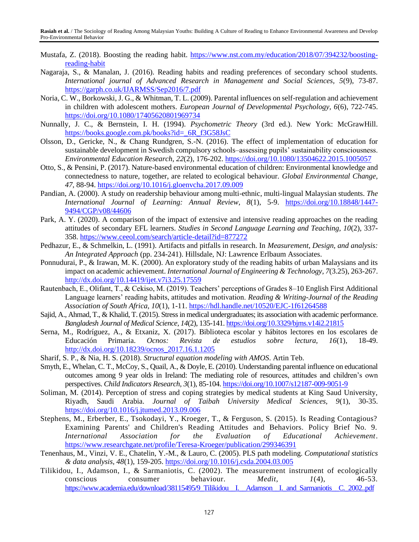- Mustafa, Z. (2018). Boosting the reading habit. [https://www.nst.com.my/education/2018/07/394232/boosting](https://www.nst.com.my/education/2018/07/394232/boosting-reading-habit)[reading-habit](https://www.nst.com.my/education/2018/07/394232/boosting-reading-habit)
- Nagaraja, S., & Manalan, J. (2016). Reading habits and reading preferences of secondary school students. *International journal of Advanced Research in Management and Social Sciences, 5*(9), 73-87. <https://garph.co.uk/IJARMSS/Sep2016/7.pdf>
- Noria, C. W., Borkowski, J. G., & Whitman, T. L. (2009). Parental influences on self-regulation and achievement in children with adolescent mothers. *European Journal of Developmental Psychology, 6*(6), 722-745. <https://doi.org/10.1080/17405620801969734>
- Nunnally, J. C., & Bernstein, I. H. (1994). *Psychometric Theory* (3rd ed.). New York: McGrawHill. [https://books.google.com.pk/books?id=\\_6R\\_f3G58JsC](https://books.google.com.pk/books?id=_6R_f3G58JsC)
- Olsson, D., Gericke, N., & Chang Rundgren, S.-N. (2016). The effect of implementation of education for sustainable development in Swedish compulsory schools–assessing pupils' sustainability consciousness. *Environmental Education Research, 22*(2), 176-202.<https://doi.org/10.1080/13504622.2015.1005057>
- Otto, S., & Pensini, P. (2017). Nature-based environmental education of children: Environmental knowledge and connectedness to nature, together, are related to ecological behaviour. *Global Environmental Change, 47*, 88-94[. https://doi.org/10.1016/j.gloenvcha.2017.09.009](https://doi.org/10.1016/j.gloenvcha.2017.09.009)
- Pandian, A. (2000). A study on readership behaviour among multi-ethnic, multi-lingual Malaysian students. *The International Journal of Learning: Annual Review, 8*(1), 5-9. [https://doi.org/10.18848/1447-](https://doi.org/10.18848/1447-9494/CGP/v08/44606) [9494/CGP/v08/44606](https://doi.org/10.18848/1447-9494/CGP/v08/44606)
- Park, A. Y. (2020). A comparison of the impact of extensive and intensive reading approaches on the reading attitudes of secondary EFL learners. *Studies in Second Language Learning and Teaching, 10*(2), 337- 358.<https://www.ceeol.com/search/article-detail?id=877272>
- Pedhazur, E., & Schmelkin, L. (1991). Artifacts and pitfalls in research. In *Measurement, Design, and analysis: An Integrated Approach* (pp. 234-241). Hillsdale, NJ: Lawrence Erlbaum Associates.
- Ponnudurai, P., & Irawan, M. K. (2000). An exploratory study of the reading habits of urban Malaysians and its impact on academic achievement. *International Journal of Engineering & Technology, 7*(3.25), 263-267. <http://dx.doi.org/10.14419/ijet.v7i3.25.17559>
- Rautenbach, E., Olifant, T., & Cekiso, M. (2019). Teachers' perceptions of Grades 8–10 English First Additional Language learners' reading habits, attitudes and motivation. *Reading & Writing-Journal of the Reading Association of South Africa, 10*(1), 1-11.<https://hdl.handle.net/10520/EJC-1f61264588>
- Sajid, A., Ahmad, T., & Khalid, T. (2015). Stress in medical undergraduates; its association with academic performance. *Bangladesh Journal of Medical Science, 14*(2), 135-141.<https://doi.org/10.3329/bjms.v14i2.21815>
- Serna, M., Rodríguez, A., & Etxaniz, X. (2017). Biblioteca escolar y hábitos lectores en los escolares de Educación Primaria. *Ocnos: Revista de estudios sobre lectura, 16*(1), 18-49. [http://dx.doi.org/10.18239/ocnos\\_2017.16.1.1205](http://dx.doi.org/10.18239/ocnos_2017.16.1.1205)
- Sharif, S. P., & Nia, H. S. (2018). *Structural equation modeling with AMOS*. Artin Teb.
- Smyth, E., Whelan, C. T., McCoy, S., Quail, A., & Doyle, E. (2010). Understanding parental influence on educational outcomes among 9 year olds in Ireland: The mediating role of resources, attitudes and children's own perspectives. *Child Indicators Research, 3*(1), 85-104.<https://doi.org/10.1007/s12187-009-9051-9>
- Soliman, M. (2014). Perception of stress and coping strategies by medical students at King Saud University, Riyadh, Saudi Arabia. *Journal of Taibah University Medical Sciences, 9*(1), 30-35. <https://doi.org/10.1016/j.jtumed.2013.09.006>
- Stephens, M., Erberber, E., Tsokodayi, Y., Kroeger, T., & Ferguson, S. (2015). Is Reading Contagious? Examining Parents' and Children's Reading Attitudes and Behaviors. Policy Brief No. 9. *International Association for the Evaluation of Educational Achievement*. <https://www.researchgate.net/profile/Teresa-Kroeger/publication/299346391>
- Tenenhaus, M., Vinzi, V. E., Chatelin, Y.-M., & Lauro, C. (2005). PLS path modeling. *Computational statistics & data analysis, 48*(1), 159-205.<https://doi.org/10.1016/j.csda.2004.03.005>
- Tilikidou, I., Adamson, I., & Sarmaniotis, C. (2002). The measurement instrument of ecologically conscious consumer behaviour. *Medit, 1*(4), 46-53. https://www.academia.edu/download/38115495/9\_Tilikidou\_I.\_Adamson\_I. and\_Sarmaniotis\_C.\_2002..pdf